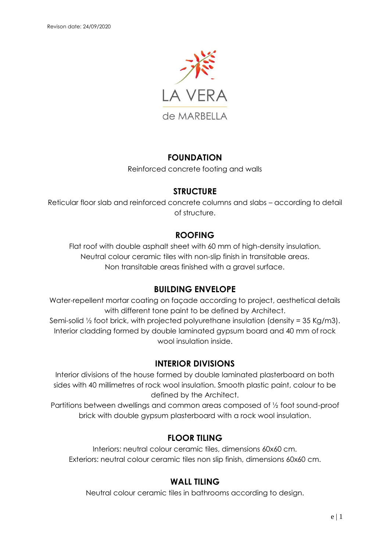

### **FOUNDATION**

Reinforced concrete footing and walls

#### **STRUCTURE**

Reticular floor slab and reinforced concrete columns and slabs – according to detail of structure.

## **ROOFING**

Flat roof with double asphalt sheet with 60 mm of high-density insulation. Neutral colour ceramic tiles with non-slip finish in transitable areas. Non transitable areas finished with a gravel surface.

## **BUILDING ENVELOPE**

Water-repellent mortar coating on façade according to project, aesthetical details with different tone paint to be defined by Architect.

Semi-solid ½ foot brick, with projected polyurethane insulation (density = 35 Kg/m3). Interior cladding formed by double laminated gypsum board and 40 mm of rock wool insulation inside.

## **INTERIOR DIVISIONS**

Interior divisions of the house formed by double laminated plasterboard on both sides with 40 millimetres of rock wool insulation. Smooth plastic paint, colour to be defined by the Architect.

Partitions between dwellings and common areas composed of ½ foot sound-proof brick with double gypsum plasterboard with a rock wool insulation.

## **FLOOR TILING**

Interiors: neutral colour ceramic tiles, dimensions 60x60 cm. Exteriors: neutral colour ceramic tiles non slip finish, dimensions 60x60 cm.

## **WALL TILING**

Neutral colour ceramic tiles in bathrooms according to design.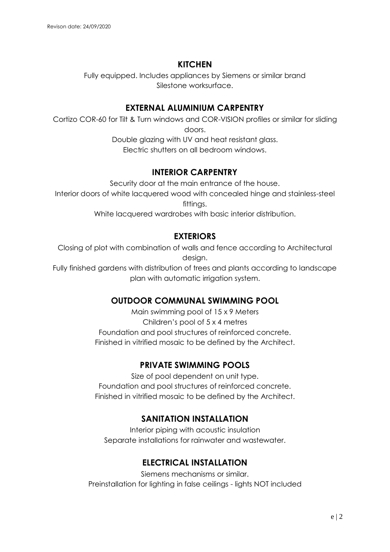## **KITCHEN**

Fully equipped. Includes appliances by Siemens or similar brand Silestone worksurface.

### **EXTERNAL ALUMINIUM CARPENTRY**

Cortizo COR-60 for Tilt & Turn windows and COR-VISION profiles or similar for sliding doors. Double glazing with UV and heat resistant glass. Electric shutters on all bedroom windows.

### **INTERIOR CARPENTRY**

Security door at the main entrance of the house. Interior doors of white lacquered wood with concealed hinge and stainless-steel fittings.

White lacquered wardrobes with basic interior distribution.

## **EXTERIORS**

Closing of plot with combination of walls and fence according to Architectural design.

Fully finished gardens with distribution of trees and plants according to landscape plan with automatic irrigation system.

## **OUTDOOR COMMUNAL SWIMMING POOL**

Main swimming pool of 15 x 9 Meters Children's pool of 5 x 4 metres Foundation and pool structures of reinforced concrete. Finished in vitrified mosaic to be defined by the Architect.

# **PRIVATE SWIMMING POOLS**

Size of pool dependent on unit type. Foundation and pool structures of reinforced concrete. Finished in vitrified mosaic to be defined by the Architect.

## **SANITATION INSTALLATION**

Interior piping with acoustic insulation Separate installations for rainwater and wastewater.

# **ELECTRICAL INSTALLATION**

Siemens mechanisms or similar. Preinstallation for lighting in false ceilings - lights NOT included